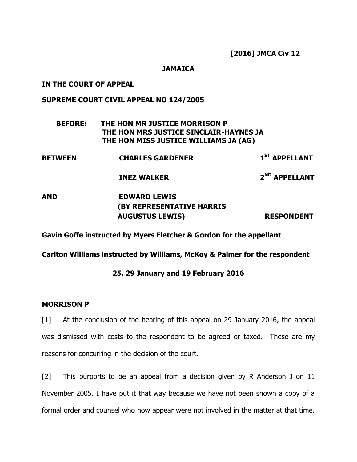[2016] JMCA Civ 12

#### **JAMAICA**

### IN THE COURT OF APPEAL

# SUPREME COURT CIVIL APPEAL NO 124/2005

# BEFORE: THE HON MR JUSTICE MORRISON P THE HON MRS JUSTICE SINCLAIR-HAYNES JA THE HON MISS JUSTICE WILLIAMS JA (AG)

| <b>BETWEEN</b> | <b>CHARLES GARDENER</b> | $1ST$ APPELLANT |
|----------------|-------------------------|-----------------|
|                |                         |                 |

INEZ WALKER 2<sup>ND</sup> APPELLANT

# AND EDWARD LEWIS (BY REPRESENTATIVE HARRIS AUGUSTUS LEWIS) RESPONDENT

# Gavin Goffe instructed by Myers Fletcher & Gordon for the appellant

Carlton Williams instructed by Williams, McKoy & Palmer for the respondent

# 25, 29 January and 19 February 2016

#### MORRISON P

[1] At the conclusion of the hearing of this appeal on 29 January 2016, the appeal was dismissed with costs to the respondent to be agreed or taxed. These are my reasons for concurring in the decision of the court.

[2] This purports to be an appeal from a decision given by R Anderson J on 11 November 2005. I have put it that way because we have not been shown a copy of a formal order and counsel who now appear were not involved in the matter at that time.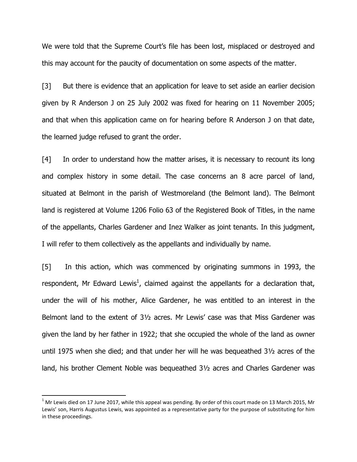We were told that the Supreme Court's file has been lost, misplaced or destroyed and this may account for the paucity of documentation on some aspects of the matter.

[3] But there is evidence that an application for leave to set aside an earlier decision given by R Anderson J on 25 July 2002 was fixed for hearing on 11 November 2005; and that when this application came on for hearing before R Anderson J on that date, the learned judge refused to grant the order.

[4] In order to understand how the matter arises, it is necessary to recount its long and complex history in some detail. The case concerns an 8 acre parcel of land, situated at Belmont in the parish of Westmoreland (the Belmont land). The Belmont land is registered at Volume 1206 Folio 63 of the Registered Book of Titles, in the name of the appellants, Charles Gardener and Inez Walker as joint tenants. In this judgment, I will refer to them collectively as the appellants and individually by name.

[5] In this action, which was commenced by originating summons in 1993, the respondent, Mr Edward Lewis<sup>1</sup>, claimed against the appellants for a declaration that, under the will of his mother, Alice Gardener, he was entitled to an interest in the Belmont land to the extent of 3½ acres. Mr Lewis' case was that Miss Gardener was given the land by her father in 1922; that she occupied the whole of the land as owner until 1975 when she died; and that under her will he was bequeathed 3½ acres of the land, his brother Clement Noble was bequeathed 3½ acres and Charles Gardener was

l

 $^1$  Mr Lewis died on 17 June 2017, while this appeal was pending. By order of this court made on 13 March 2015, Mr Lewis' son, Harris Augustus Lewis, was appointed as a representative party for the purpose of substituting for him in these proceedings.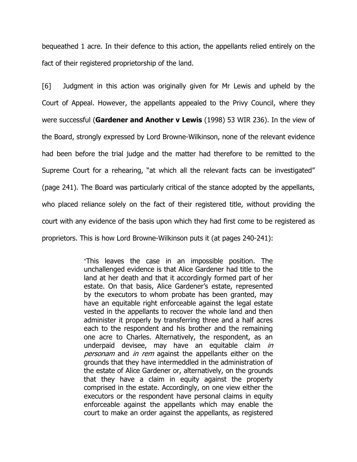bequeathed 1 acre. In their defence to this action, the appellants relied entirely on the fact of their registered proprietorship of the land.

[6] Judgment in this action was originally given for Mr Lewis and upheld by the Court of Appeal. However, the appellants appealed to the Privy Council, where they were successful (Gardener and Another  $v$  Lewis (1998) 53 WIR 236). In the view of the Board, strongly expressed by Lord Browne-Wilkinson, none of the relevant evidence had been before the trial judge and the matter had therefore to be remitted to the Supreme Court for a rehearing, "at which all the relevant facts can be investigated" (page 241). The Board was particularly critical of the stance adopted by the appellants, who placed reliance solely on the fact of their registered title, without providing the court with any evidence of the basis upon which they had first come to be registered as proprietors. This is how Lord Browne-Wilkinson puts it (at pages 240-241):

> "This leaves the case in an impossible position. The unchallenged evidence is that Alice Gardener had title to the land at her death and that it accordingly formed part of her estate. On that basis, Alice Gardener's estate, represented by the executors to whom probate has been granted, may have an equitable right enforceable against the legal estate vested in the appellants to recover the whole land and then administer it properly by transferring three and a half acres each to the respondent and his brother and the remaining one acre to Charles. Alternatively, the respondent, as an underpaid devisee, may have an equitable claim in personam and in rem against the appellants either on the grounds that they have intermeddled in the administration of the estate of Alice Gardener or, alternatively, on the grounds that they have a claim in equity against the property comprised in the estate. Accordingly, on one view either the executors or the respondent have personal claims in equity enforceable against the appellants which may enable the court to make an order against the appellants, as registered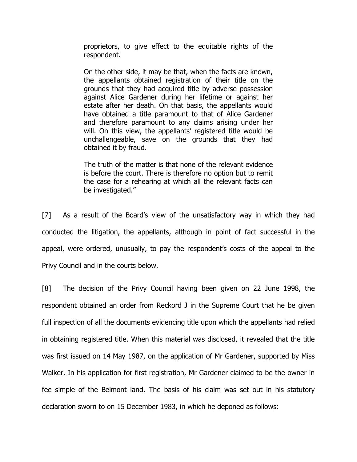proprietors, to give effect to the equitable rights of the respondent.

On the other side, it may be that, when the facts are known, the appellants obtained registration of their title on the grounds that they had acquired title by adverse possession against Alice Gardener during her lifetime or against her estate after her death. On that basis, the appellants would have obtained a title paramount to that of Alice Gardener and therefore paramount to any claims arising under her will. On this view, the appellants' registered title would be unchallengeable, save on the grounds that they had obtained it by fraud.

The truth of the matter is that none of the relevant evidence is before the court. There is therefore no option but to remit the case for a rehearing at which all the relevant facts can be investigated."

[7] As a result of the Board's view of the unsatisfactory way in which they had conducted the litigation, the appellants, although in point of fact successful in the appeal, were ordered, unusually, to pay the respondent's costs of the appeal to the Privy Council and in the courts below.

[8] The decision of the Privy Council having been given on 22 June 1998, the respondent obtained an order from Reckord J in the Supreme Court that he be given full inspection of all the documents evidencing title upon which the appellants had relied in obtaining registered title. When this material was disclosed, it revealed that the title was first issued on 14 May 1987, on the application of Mr Gardener, supported by Miss Walker. In his application for first registration, Mr Gardener claimed to be the owner in fee simple of the Belmont land. The basis of his claim was set out in his statutory declaration sworn to on 15 December 1983, in which he deponed as follows: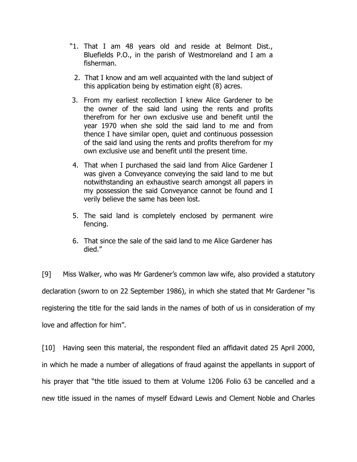- "1. That I am 48 years old and reside at Belmont Dist., Bluefields P.O., in the parish of Westmoreland and I am a fisherman.
	- 2. That I know and am well acquainted with the land subject of this application being by estimation eight (8) acres.
- 3. From my earliest recollection I knew Alice Gardener to be the owner of the said land using the rents and profits therefrom for her own exclusive use and benefit until the year 1970 when she sold the said land to me and from thence I have similar open, quiet and continuous possession of the said land using the rents and profits therefrom for my own exclusive use and benefit until the present time.
- 4. That when I purchased the said land from Alice Gardener I was given a Conveyance conveying the said land to me but notwithstanding an exhaustive search amongst all papers in my possession the said Conveyance cannot be found and I verily believe the same has been lost.
- 5. The said land is completely enclosed by permanent wire fencing.
- 6. That since the sale of the said land to me Alice Gardener has died."

[9] Miss Walker, who was Mr Gardener's common law wife, also provided a statutory declaration (sworn to on 22 September 1986), in which she stated that Mr Gardener "is registering the title for the said lands in the names of both of us in consideration of my love and affection for him".

[10] Having seen this material, the respondent filed an affidavit dated 25 April 2000, in which he made a number of allegations of fraud against the appellants in support of his prayer that "the title issued to them at Volume 1206 Folio 63 be cancelled and a new title issued in the names of myself Edward Lewis and Clement Noble and Charles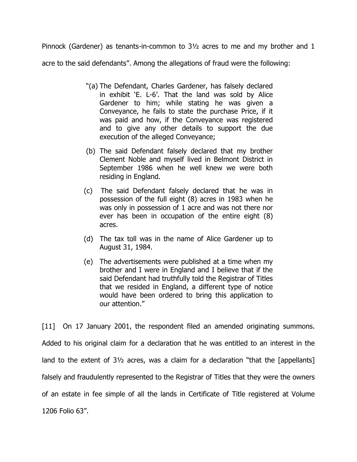Pinnock (Gardener) as tenants-in-common to 3½ acres to me and my brother and 1 acre to the said defendants". Among the allegations of fraud were the following:

- "(a) The Defendant, Charles Gardener, has falsely declared in exhibit 'E. L-6'. That the land was sold by Alice Gardener to him; while stating he was given a Conveyance, he fails to state the purchase Price, if it was paid and how, if the Conveyance was registered and to give any other details to support the due execution of the alleged Conveyance;
- (b) The said Defendant falsely declared that my brother Clement Noble and myself lived in Belmont District in September 1986 when he well knew we were both residing in England.
- (c) The said Defendant falsely declared that he was in possession of the full eight (8) acres in 1983 when he was only in possession of 1 acre and was not there nor ever has been in occupation of the entire eight (8) acres.
- (d) The tax toll was in the name of Alice Gardener up to August 31, 1984.
- (e) The advertisements were published at a time when my brother and I were in England and I believe that if the said Defendant had truthfully told the Registrar of Titles that we resided in England, a different type of notice would have been ordered to bring this application to our attention."

[11] On 17 January 2001, the respondent filed an amended originating summons. Added to his original claim for a declaration that he was entitled to an interest in the land to the extent of 3½ acres, was a claim for a declaration "that the [appellants] falsely and fraudulently represented to the Registrar of Titles that they were the owners of an estate in fee simple of all the lands in Certificate of Title registered at Volume 1206 Folio 63".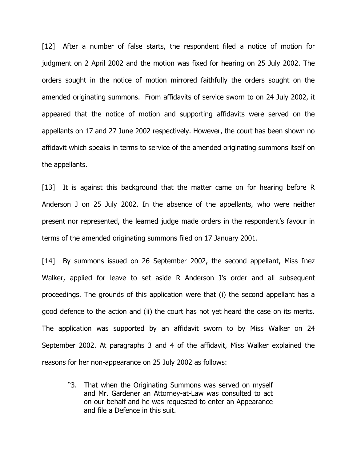[12] After a number of false starts, the respondent filed a notice of motion for judgment on 2 April 2002 and the motion was fixed for hearing on 25 July 2002. The orders sought in the notice of motion mirrored faithfully the orders sought on the amended originating summons. From affidavits of service sworn to on 24 July 2002, it appeared that the notice of motion and supporting affidavits were served on the appellants on 17 and 27 June 2002 respectively. However, the court has been shown no affidavit which speaks in terms to service of the amended originating summons itself on the appellants.

[13] It is against this background that the matter came on for hearing before R Anderson J on 25 July 2002. In the absence of the appellants, who were neither present nor represented, the learned judge made orders in the respondent's favour in terms of the amended originating summons filed on 17 January 2001.

[14] By summons issued on 26 September 2002, the second appellant, Miss Inez Walker, applied for leave to set aside R Anderson J's order and all subsequent proceedings. The grounds of this application were that (i) the second appellant has a good defence to the action and (ii) the court has not yet heard the case on its merits. The application was supported by an affidavit sworn to by Miss Walker on 24 September 2002. At paragraphs 3 and 4 of the affidavit, Miss Walker explained the reasons for her non-appearance on 25 July 2002 as follows:

"3. That when the Originating Summons was served on myself and Mr. Gardener an Attorney-at-Law was consulted to act on our behalf and he was requested to enter an Appearance and file a Defence in this suit.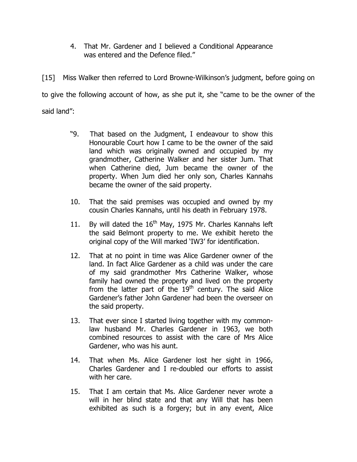4. That Mr. Gardener and I believed a Conditional Appearance was entered and the Defence filed."

[15] Miss Walker then referred to Lord Browne-Wilkinson's judgment, before going on to give the following account of how, as she put it, she "came to be the owner of the said land":

- "9. That based on the Judgment, I endeavour to show this Honourable Court how I came to be the owner of the said land which was originally owned and occupied by my grandmother, Catherine Walker and her sister Jum. That when Catherine died, Jum became the owner of the property. When Jum died her only son, Charles Kannahs became the owner of the said property.
- 10. That the said premises was occupied and owned by my cousin Charles Kannahs, until his death in February 1978.
- 11. By will dated the  $16<sup>th</sup>$  May, 1975 Mr. Charles Kannahs left the said Belmont property to me. We exhibit hereto the original copy of the Will marked 'IW3' for identification.
- 12. That at no point in time was Alice Gardener owner of the land. In fact Alice Gardener as a child was under the care of my said grandmother Mrs Catherine Walker, whose family had owned the property and lived on the property from the latter part of the  $19<sup>th</sup>$  century. The said Alice Gardener's father John Gardener had been the overseer on the said property.
- 13. That ever since I started living together with my commonlaw husband Mr. Charles Gardener in 1963, we both combined resources to assist with the care of Mrs Alice Gardener, who was his aunt.
- 14. That when Ms. Alice Gardener lost her sight in 1966, Charles Gardener and I re-doubled our efforts to assist with her care.
- 15. That I am certain that Ms. Alice Gardener never wrote a will in her blind state and that any Will that has been exhibited as such is a forgery; but in any event, Alice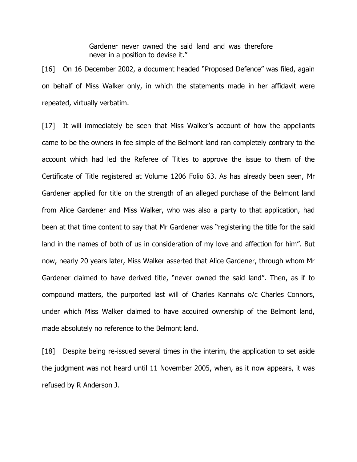Gardener never owned the said land and was therefore never in a position to devise it."

[16] On 16 December 2002, a document headed "Proposed Defence" was filed, again on behalf of Miss Walker only, in which the statements made in her affidavit were repeated, virtually verbatim.

[17] It will immediately be seen that Miss Walker's account of how the appellants came to be the owners in fee simple of the Belmont land ran completely contrary to the account which had led the Referee of Titles to approve the issue to them of the Certificate of Title registered at Volume 1206 Folio 63. As has already been seen, Mr Gardener applied for title on the strength of an alleged purchase of the Belmont land from Alice Gardener and Miss Walker, who was also a party to that application, had been at that time content to say that Mr Gardener was "registering the title for the said land in the names of both of us in consideration of my love and affection for him". But now, nearly 20 years later, Miss Walker asserted that Alice Gardener, through whom Mr Gardener claimed to have derived title, "never owned the said land". Then, as if to compound matters, the purported last will of Charles Kannahs o/c Charles Connors, under which Miss Walker claimed to have acquired ownership of the Belmont land, made absolutely no reference to the Belmont land.

[18] Despite being re-issued several times in the interim, the application to set aside the judgment was not heard until 11 November 2005, when, as it now appears, it was refused by R Anderson J.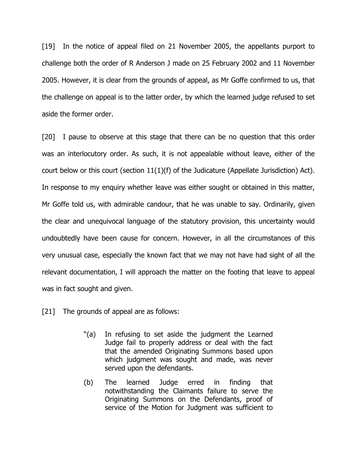[19] In the notice of appeal filed on 21 November 2005, the appellants purport to challenge both the order of R Anderson J made on 25 February 2002 and 11 November 2005. However, it is clear from the grounds of appeal, as Mr Goffe confirmed to us, that the challenge on appeal is to the latter order, by which the learned judge refused to set aside the former order.

[20] I pause to observe at this stage that there can be no question that this order was an interlocutory order. As such, it is not appealable without leave, either of the court below or this court (section  $11(1)(f)$  of the Judicature (Appellate Jurisdiction) Act). In response to my enquiry whether leave was either sought or obtained in this matter, Mr Goffe told us, with admirable candour, that he was unable to say. Ordinarily, given the clear and unequivocal language of the statutory provision, this uncertainty would undoubtedly have been cause for concern. However, in all the circumstances of this very unusual case, especially the known fact that we may not have had sight of all the relevant documentation, I will approach the matter on the footing that leave to appeal was in fact sought and given.

- [21] The grounds of appeal are as follows:
	- "(a) In refusing to set aside the judgment the Learned Judge fail to properly address or deal with the fact that the amended Originating Summons based upon which judgment was sought and made, was never served upon the defendants.
	- (b) The learned Judge erred in finding that notwithstanding the Claimants failure to serve the Originating Summons on the Defendants, proof of service of the Motion for Judgment was sufficient to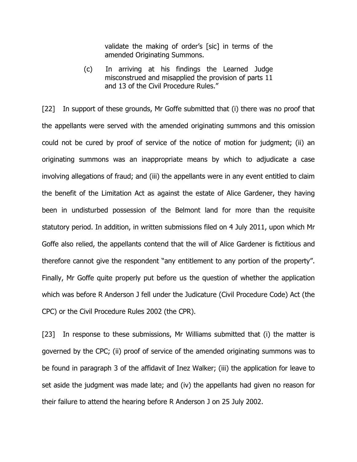validate the making of order's [sic] in terms of the amended Originating Summons.

(c) In arriving at his findings the Learned Judge misconstrued and misapplied the provision of parts 11 and 13 of the Civil Procedure Rules."

[22] In support of these grounds, Mr Goffe submitted that (i) there was no proof that the appellants were served with the amended originating summons and this omission could not be cured by proof of service of the notice of motion for judgment; (ii) an originating summons was an inappropriate means by which to adjudicate a case involving allegations of fraud; and (iii) the appellants were in any event entitled to claim the benefit of the Limitation Act as against the estate of Alice Gardener, they having been in undisturbed possession of the Belmont land for more than the requisite statutory period. In addition, in written submissions filed on 4 July 2011, upon which Mr Goffe also relied, the appellants contend that the will of Alice Gardener is fictitious and therefore cannot give the respondent "any entitlement to any portion of the property". Finally, Mr Goffe quite properly put before us the question of whether the application which was before R Anderson J fell under the Judicature (Civil Procedure Code) Act (the CPC) or the Civil Procedure Rules 2002 (the CPR).

[23] In response to these submissions, Mr Williams submitted that (i) the matter is governed by the CPC; (ii) proof of service of the amended originating summons was to be found in paragraph 3 of the affidavit of Inez Walker; (iii) the application for leave to set aside the judgment was made late; and (iv) the appellants had given no reason for their failure to attend the hearing before R Anderson J on 25 July 2002.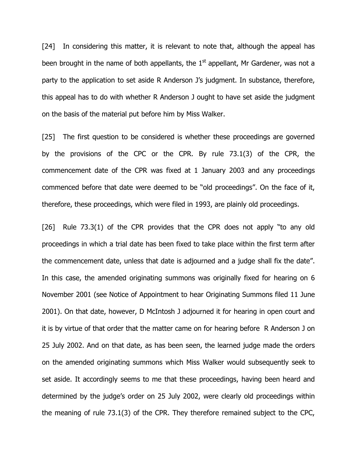[24] In considering this matter, it is relevant to note that, although the appeal has been brought in the name of both appellants, the  $1<sup>st</sup>$  appellant, Mr Gardener, was not a party to the application to set aside R Anderson J's judgment. In substance, therefore, this appeal has to do with whether R Anderson J ought to have set aside the judgment on the basis of the material put before him by Miss Walker.

[25] The first question to be considered is whether these proceedings are governed by the provisions of the CPC or the CPR. By rule 73.1(3) of the CPR, the commencement date of the CPR was fixed at 1 January 2003 and any proceedings commenced before that date were deemed to be "old proceedings". On the face of it, therefore, these proceedings, which were filed in 1993, are plainly old proceedings.

[26] Rule 73.3(1) of the CPR provides that the CPR does not apply "to any old proceedings in which a trial date has been fixed to take place within the first term after the commencement date, unless that date is adjourned and a judge shall fix the date". In this case, the amended originating summons was originally fixed for hearing on 6 November 2001 (see Notice of Appointment to hear Originating Summons filed 11 June 2001). On that date, however, D McIntosh J adjourned it for hearing in open court and it is by virtue of that order that the matter came on for hearing before R Anderson J on 25 July 2002. And on that date, as has been seen, the learned judge made the orders on the amended originating summons which Miss Walker would subsequently seek to set aside. It accordingly seems to me that these proceedings, having been heard and determined by the judge's order on 25 July 2002, were clearly old proceedings within the meaning of rule 73.1(3) of the CPR. They therefore remained subject to the CPC,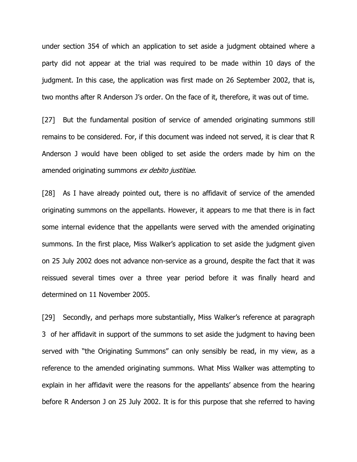under section 354 of which an application to set aside a judgment obtained where a party did not appear at the trial was required to be made within 10 days of the judgment. In this case, the application was first made on 26 September 2002, that is, two months after R Anderson J's order. On the face of it, therefore, it was out of time.

[27] But the fundamental position of service of amended originating summons still remains to be considered. For, if this document was indeed not served, it is clear that R Anderson J would have been obliged to set aside the orders made by him on the amended originating summons ex debito justitiae.

[28] As I have already pointed out, there is no affidavit of service of the amended originating summons on the appellants. However, it appears to me that there is in fact some internal evidence that the appellants were served with the amended originating summons. In the first place, Miss Walker's application to set aside the judgment given on 25 July 2002 does not advance non-service as a ground, despite the fact that it was reissued several times over a three year period before it was finally heard and determined on 11 November 2005.

[29] Secondly, and perhaps more substantially, Miss Walker's reference at paragraph 3 of her affidavit in support of the summons to set aside the judgment to having been served with "the Originating Summons" can only sensibly be read, in my view, as a reference to the amended originating summons. What Miss Walker was attempting to explain in her affidavit were the reasons for the appellants' absence from the hearing before R Anderson J on 25 July 2002. It is for this purpose that she referred to having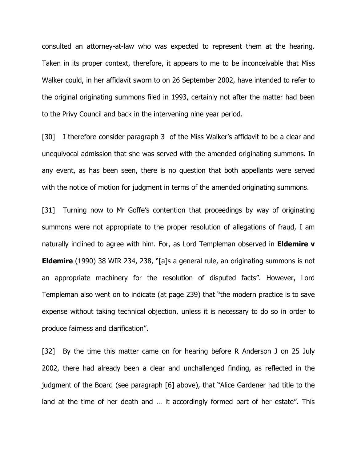consulted an attorney-at-law who was expected to represent them at the hearing. Taken in its proper context, therefore, it appears to me to be inconceivable that Miss Walker could, in her affidavit sworn to on 26 September 2002, have intended to refer to the original originating summons filed in 1993, certainly not after the matter had been to the Privy Council and back in the intervening nine year period.

[30] I therefore consider paragraph 3 of the Miss Walker's affidavit to be a clear and unequivocal admission that she was served with the amended originating summons. In any event, as has been seen, there is no question that both appellants were served with the notice of motion for judgment in terms of the amended originating summons.

[31] Turning now to Mr Goffe's contention that proceedings by way of originating summons were not appropriate to the proper resolution of allegations of fraud, I am naturally inclined to agree with him. For, as Lord Templeman observed in **Eldemire v** Eldemire (1990) 38 WIR 234, 238, "[a]s a general rule, an originating summons is not an appropriate machinery for the resolution of disputed facts". However, Lord Templeman also went on to indicate (at page 239) that "the modern practice is to save expense without taking technical objection, unless it is necessary to do so in order to produce fairness and clarification".

[32] By the time this matter came on for hearing before R Anderson J on 25 July 2002, there had already been a clear and unchallenged finding, as reflected in the judgment of the Board (see paragraph [6] above), that "Alice Gardener had title to the land at the time of her death and … it accordingly formed part of her estate". This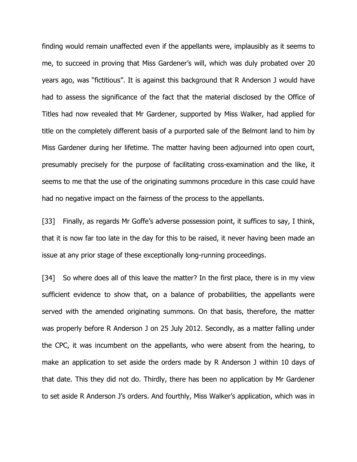finding would remain unaffected even if the appellants were, implausibly as it seems to me, to succeed in proving that Miss Gardener's will, which was duly probated over 20 years ago, was "fictitious". It is against this background that R Anderson J would have had to assess the significance of the fact that the material disclosed by the Office of Titles had now revealed that Mr Gardener, supported by Miss Walker, had applied for title on the completely different basis of a purported sale of the Belmont land to him by Miss Gardener during her lifetime. The matter having been adjourned into open court, presumably precisely for the purpose of facilitating cross-examination and the like, it seems to me that the use of the originating summons procedure in this case could have had no negative impact on the fairness of the process to the appellants.

[33] Finally, as regards Mr Goffe's adverse possession point, it suffices to say, I think, that it is now far too late in the day for this to be raised, it never having been made an issue at any prior stage of these exceptionally long-running proceedings.

[34] So where does all of this leave the matter? In the first place, there is in my view sufficient evidence to show that, on a balance of probabilities, the appellants were served with the amended originating summons. On that basis, therefore, the matter was properly before R Anderson J on 25 July 2012. Secondly, as a matter falling under the CPC, it was incumbent on the appellants, who were absent from the hearing, to make an application to set aside the orders made by R Anderson J within 10 days of that date. This they did not do. Thirdly, there has been no application by Mr Gardener to set aside R Anderson J's orders. And fourthly, Miss Walker's application, which was in